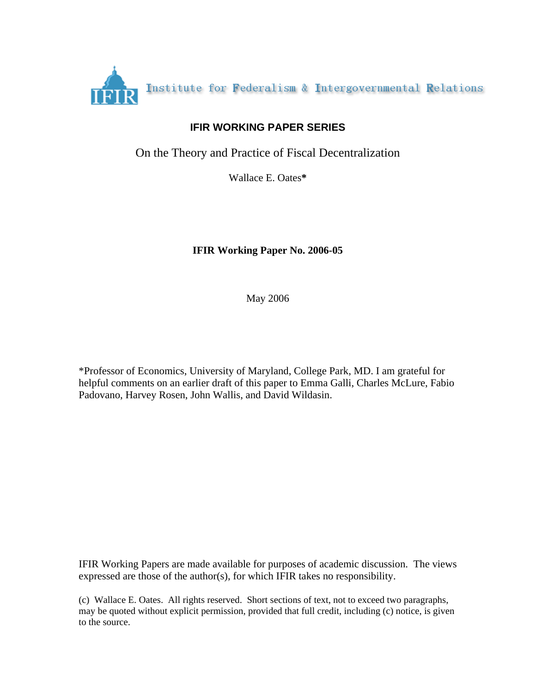

# **IFIR WORKING PAPER SERIES**

On the Theory and Practice of Fiscal Decentralization

Wallace E. Oates**\***

# **IFIR Working Paper No. 2006-05**

May 2006

\*Professor of Economics, University of Maryland, College Park, MD. I am grateful for helpful comments on an earlier draft of this paper to Emma Galli, Charles McLure, Fabio Padovano, Harvey Rosen, John Wallis, and David Wildasin.

IFIR Working Papers are made available for purposes of academic discussion. The views expressed are those of the author(s), for which IFIR takes no responsibility.

(c) Wallace E. Oates. All rights reserved. Short sections of text, not to exceed two paragraphs, may be quoted without explicit permission, provided that full credit, including (c) notice, is given to the source.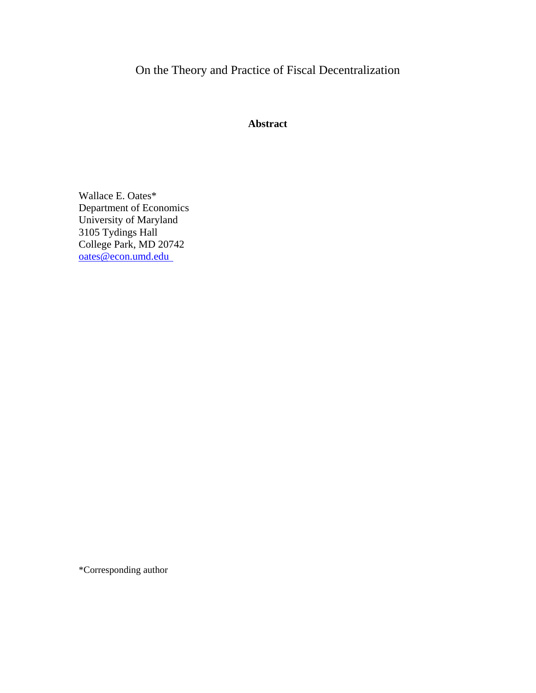On the Theory and Practice of Fiscal Decentralization

# **Abstract**

Wallace E. Oates\* Department of Economics University of Maryland 3105 Tydings Hall College Park, MD 20742 oates@econ.umd.edu

\*Corresponding author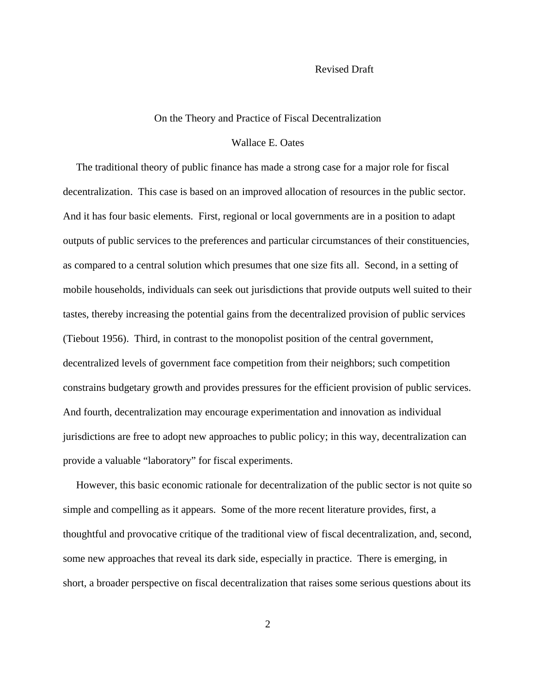#### Revised Draft

#### On the Theory and Practice of Fiscal Decentralization

#### Wallace E. Oates

 The traditional theory of public finance has made a strong case for a major role for fiscal decentralization. This case is based on an improved allocation of resources in the public sector. And it has four basic elements. First, regional or local governments are in a position to adapt outputs of public services to the preferences and particular circumstances of their constituencies, as compared to a central solution which presumes that one size fits all. Second, in a setting of mobile households, individuals can seek out jurisdictions that provide outputs well suited to their tastes, thereby increasing the potential gains from the decentralized provision of public services (Tiebout 1956). Third, in contrast to the monopolist position of the central government, decentralized levels of government face competition from their neighbors; such competition constrains budgetary growth and provides pressures for the efficient provision of public services. And fourth, decentralization may encourage experimentation and innovation as individual jurisdictions are free to adopt new approaches to public policy; in this way, decentralization can provide a valuable "laboratory" for fiscal experiments.

 However, this basic economic rationale for decentralization of the public sector is not quite so simple and compelling as it appears. Some of the more recent literature provides, first, a thoughtful and provocative critique of the traditional view of fiscal decentralization, and, second, some new approaches that reveal its dark side, especially in practice. There is emerging, in short, a broader perspective on fiscal decentralization that raises some serious questions about its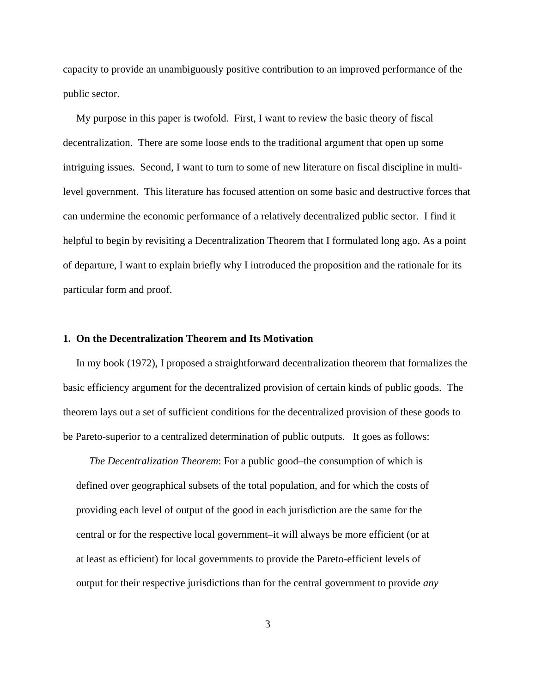capacity to provide an unambiguously positive contribution to an improved performance of the public sector.

 My purpose in this paper is twofold. First, I want to review the basic theory of fiscal decentralization. There are some loose ends to the traditional argument that open up some intriguing issues. Second, I want to turn to some of new literature on fiscal discipline in multilevel government. This literature has focused attention on some basic and destructive forces that can undermine the economic performance of a relatively decentralized public sector. I find it helpful to begin by revisiting a Decentralization Theorem that I formulated long ago. As a point of departure, I want to explain briefly why I introduced the proposition and the rationale for its particular form and proof.

### **1. On the Decentralization Theorem and Its Motivation**

 In my book (1972), I proposed a straightforward decentralization theorem that formalizes the basic efficiency argument for the decentralized provision of certain kinds of public goods. The theorem lays out a set of sufficient conditions for the decentralized provision of these goods to be Pareto-superior to a centralized determination of public outputs. It goes as follows:

 *The Decentralization Theorem*: For a public good–the consumption of which is defined over geographical subsets of the total population, and for which the costs of providing each level of output of the good in each jurisdiction are the same for the central or for the respective local government–it will always be more efficient (or at at least as efficient) for local governments to provide the Pareto-efficient levels of output for their respective jurisdictions than for the central government to provide *any*

3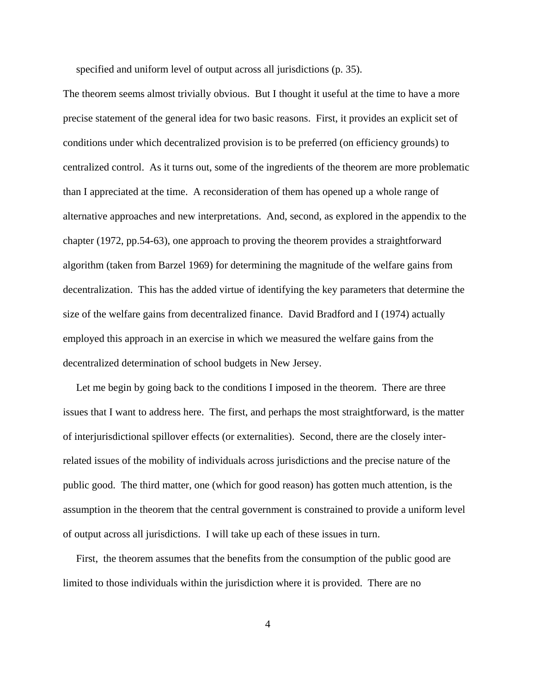specified and uniform level of output across all jurisdictions (p. 35).

The theorem seems almost trivially obvious. But I thought it useful at the time to have a more precise statement of the general idea for two basic reasons. First, it provides an explicit set of conditions under which decentralized provision is to be preferred (on efficiency grounds) to centralized control. As it turns out, some of the ingredients of the theorem are more problematic than I appreciated at the time. A reconsideration of them has opened up a whole range of alternative approaches and new interpretations. And, second, as explored in the appendix to the chapter (1972, pp.54-63), one approach to proving the theorem provides a straightforward algorithm (taken from Barzel 1969) for determining the magnitude of the welfare gains from decentralization. This has the added virtue of identifying the key parameters that determine the size of the welfare gains from decentralized finance. David Bradford and I (1974) actually employed this approach in an exercise in which we measured the welfare gains from the decentralized determination of school budgets in New Jersey.

 Let me begin by going back to the conditions I imposed in the theorem. There are three issues that I want to address here. The first, and perhaps the most straightforward, is the matter of interjurisdictional spillover effects (or externalities). Second, there are the closely interrelated issues of the mobility of individuals across jurisdictions and the precise nature of the public good. The third matter, one (which for good reason) has gotten much attention, is the assumption in the theorem that the central government is constrained to provide a uniform level of output across all jurisdictions. I will take up each of these issues in turn.

 First, the theorem assumes that the benefits from the consumption of the public good are limited to those individuals within the jurisdiction where it is provided. There are no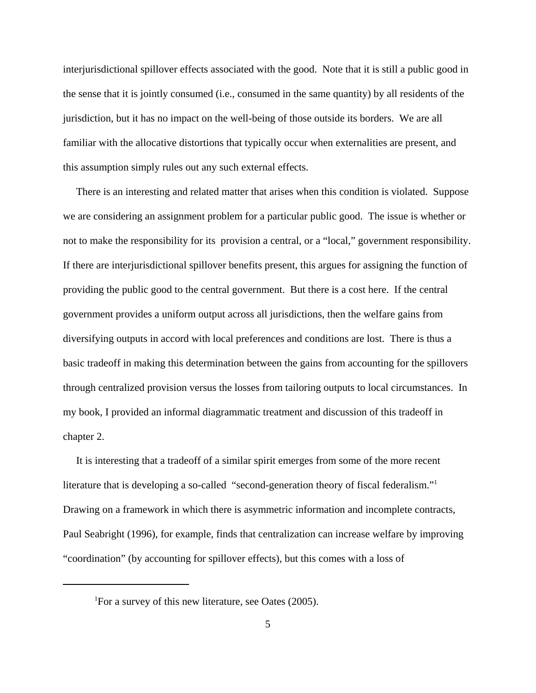interjurisdictional spillover effects associated with the good. Note that it is still a public good in the sense that it is jointly consumed (i.e., consumed in the same quantity) by all residents of the jurisdiction, but it has no impact on the well-being of those outside its borders. We are all familiar with the allocative distortions that typically occur when externalities are present, and this assumption simply rules out any such external effects.

 There is an interesting and related matter that arises when this condition is violated. Suppose we are considering an assignment problem for a particular public good. The issue is whether or not to make the responsibility for its provision a central, or a "local," government responsibility. If there are interjurisdictional spillover benefits present, this argues for assigning the function of providing the public good to the central government. But there is a cost here. If the central government provides a uniform output across all jurisdictions, then the welfare gains from diversifying outputs in accord with local preferences and conditions are lost. There is thus a basic tradeoff in making this determination between the gains from accounting for the spillovers through centralized provision versus the losses from tailoring outputs to local circumstances. In my book, I provided an informal diagrammatic treatment and discussion of this tradeoff in chapter 2.

 It is interesting that a tradeoff of a similar spirit emerges from some of the more recent literature that is developing a so-called "second-generation theory of fiscal federalism."1 Drawing on a framework in which there is asymmetric information and incomplete contracts, Paul Seabright (1996), for example, finds that centralization can increase welfare by improving "coordination" (by accounting for spillover effects), but this comes with a loss of

<sup>&</sup>lt;sup>1</sup>For a survey of this new literature, see Oates (2005).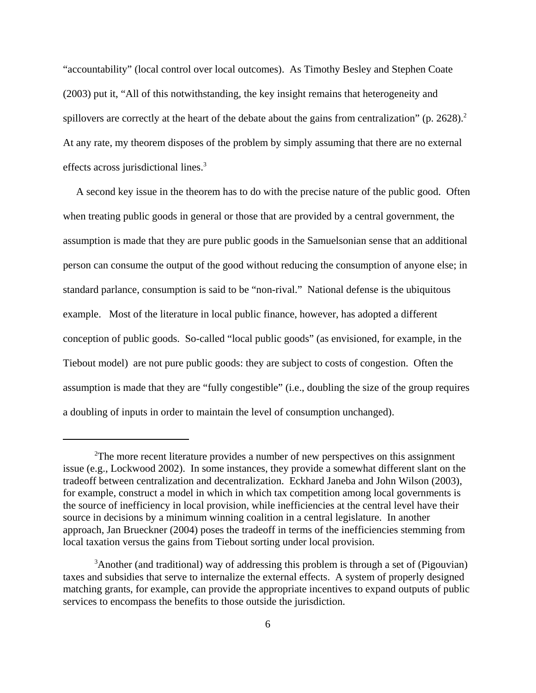"accountability" (local control over local outcomes). As Timothy Besley and Stephen Coate (2003) put it, "All of this notwithstanding, the key insight remains that heterogeneity and spillovers are correctly at the heart of the debate about the gains from centralization" (p. 2628).<sup>2</sup> At any rate, my theorem disposes of the problem by simply assuming that there are no external effects across jurisdictional lines.<sup>3</sup>

 A second key issue in the theorem has to do with the precise nature of the public good. Often when treating public goods in general or those that are provided by a central government, the assumption is made that they are pure public goods in the Samuelsonian sense that an additional person can consume the output of the good without reducing the consumption of anyone else; in standard parlance, consumption is said to be "non-rival." National defense is the ubiquitous example. Most of the literature in local public finance, however, has adopted a different conception of public goods. So-called "local public goods" (as envisioned, for example, in the Tiebout model) are not pure public goods: they are subject to costs of congestion. Often the assumption is made that they are "fully congestible" (i.e., doubling the size of the group requires a doubling of inputs in order to maintain the level of consumption unchanged).

<sup>&</sup>lt;sup>2</sup>The more recent literature provides a number of new perspectives on this assignment issue (e.g., Lockwood 2002). In some instances, they provide a somewhat different slant on the tradeoff between centralization and decentralization. Eckhard Janeba and John Wilson (2003), for example, construct a model in which in which tax competition among local governments is the source of inefficiency in local provision, while inefficiencies at the central level have their source in decisions by a minimum winning coalition in a central legislature. In another approach, Jan Brueckner (2004) poses the tradeoff in terms of the inefficiencies stemming from local taxation versus the gains from Tiebout sorting under local provision.

<sup>&</sup>lt;sup>3</sup>Another (and traditional) way of addressing this problem is through a set of (Pigouvian) taxes and subsidies that serve to internalize the external effects. A system of properly designed matching grants, for example, can provide the appropriate incentives to expand outputs of public services to encompass the benefits to those outside the jurisdiction.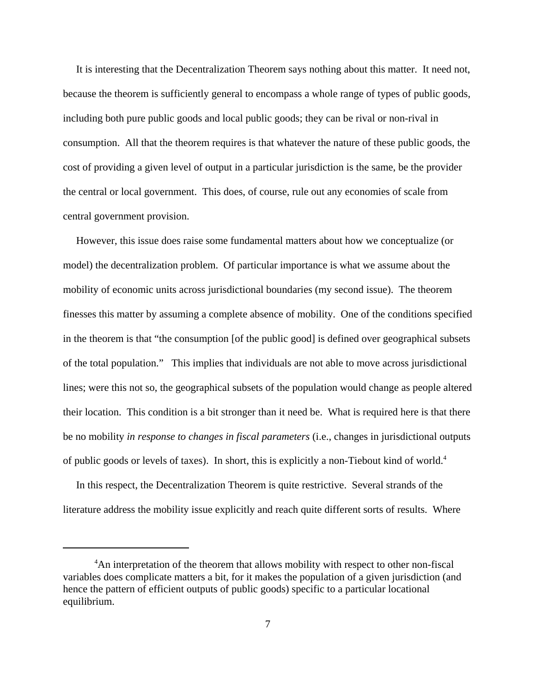It is interesting that the Decentralization Theorem says nothing about this matter. It need not, because the theorem is sufficiently general to encompass a whole range of types of public goods, including both pure public goods and local public goods; they can be rival or non-rival in consumption. All that the theorem requires is that whatever the nature of these public goods, the cost of providing a given level of output in a particular jurisdiction is the same, be the provider the central or local government. This does, of course, rule out any economies of scale from central government provision.

 However, this issue does raise some fundamental matters about how we conceptualize (or model) the decentralization problem. Of particular importance is what we assume about the mobility of economic units across jurisdictional boundaries (my second issue). The theorem finesses this matter by assuming a complete absence of mobility. One of the conditions specified in the theorem is that "the consumption [of the public good] is defined over geographical subsets of the total population." This implies that individuals are not able to move across jurisdictional lines; were this not so, the geographical subsets of the population would change as people altered their location. This condition is a bit stronger than it need be. What is required here is that there be no mobility *in response to changes in fiscal parameters* (i.e., changes in jurisdictional outputs of public goods or levels of taxes). In short, this is explicitly a non-Tiebout kind of world.4

 In this respect, the Decentralization Theorem is quite restrictive. Several strands of the literature address the mobility issue explicitly and reach quite different sorts of results. Where

<sup>&</sup>lt;sup>4</sup>An interpretation of the theorem that allows mobility with respect to other non-fiscal variables does complicate matters a bit, for it makes the population of a given jurisdiction (and hence the pattern of efficient outputs of public goods) specific to a particular locational equilibrium.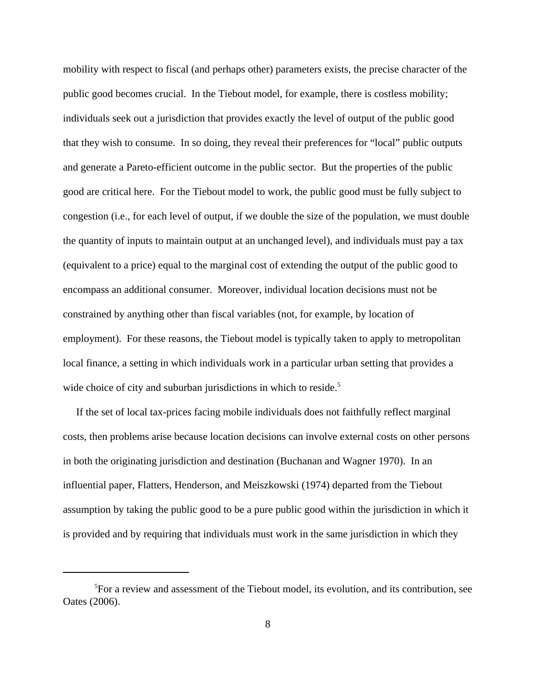mobility with respect to fiscal (and perhaps other) parameters exists, the precise character of the public good becomes crucial. In the Tiebout model, for example, there is costless mobility; individuals seek out a jurisdiction that provides exactly the level of output of the public good that they wish to consume. In so doing, they reveal their preferences for "local" public outputs and generate a Pareto-efficient outcome in the public sector. But the properties of the public good are critical here. For the Tiebout model to work, the public good must be fully subject to congestion (i.e., for each level of output, if we double the size of the population, we must double the quantity of inputs to maintain output at an unchanged level), and individuals must pay a tax (equivalent to a price) equal to the marginal cost of extending the output of the public good to encompass an additional consumer. Moreover, individual location decisions must not be constrained by anything other than fiscal variables (not, for example, by location of employment). For these reasons, the Tiebout model is typically taken to apply to metropolitan local finance, a setting in which individuals work in a particular urban setting that provides a wide choice of city and suburban jurisdictions in which to reside.<sup>5</sup>

 If the set of local tax-prices facing mobile individuals does not faithfully reflect marginal costs, then problems arise because location decisions can involve external costs on other persons in both the originating jurisdiction and destination (Buchanan and Wagner 1970). In an influential paper, Flatters, Henderson, and Meiszkowski (1974) departed from the Tiebout assumption by taking the public good to be a pure public good within the jurisdiction in which it is provided and by requiring that individuals must work in the same jurisdiction in which they

<sup>5</sup> For a review and assessment of the Tiebout model, its evolution, and its contribution, see Oates (2006).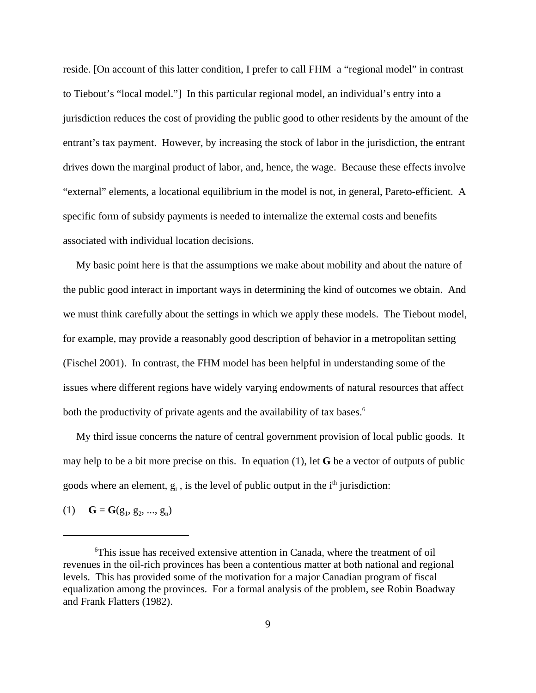reside. [On account of this latter condition, I prefer to call FHM a "regional model" in contrast to Tiebout's "local model."] In this particular regional model, an individual's entry into a jurisdiction reduces the cost of providing the public good to other residents by the amount of the entrant's tax payment. However, by increasing the stock of labor in the jurisdiction, the entrant drives down the marginal product of labor, and, hence, the wage. Because these effects involve "external" elements, a locational equilibrium in the model is not, in general, Pareto-efficient. A specific form of subsidy payments is needed to internalize the external costs and benefits associated with individual location decisions.

 My basic point here is that the assumptions we make about mobility and about the nature of the public good interact in important ways in determining the kind of outcomes we obtain. And we must think carefully about the settings in which we apply these models. The Tiebout model, for example, may provide a reasonably good description of behavior in a metropolitan setting (Fischel 2001). In contrast, the FHM model has been helpful in understanding some of the issues where different regions have widely varying endowments of natural resources that affect both the productivity of private agents and the availability of tax bases.<sup>6</sup>

 My third issue concerns the nature of central government provision of local public goods. It may help to be a bit more precise on this. In equation (1), let **G** be a vector of outputs of public goods where an element,  $g_i$ , is the level of public output in the  $i<sup>th</sup>$  jurisdiction:

(1) **G** = **G**(g<sub>1</sub>, g<sub>2</sub>, ..., g<sub>n</sub>)

<sup>6</sup> This issue has received extensive attention in Canada, where the treatment of oil revenues in the oil-rich provinces has been a contentious matter at both national and regional levels. This has provided some of the motivation for a major Canadian program of fiscal equalization among the provinces. For a formal analysis of the problem, see Robin Boadway and Frank Flatters (1982).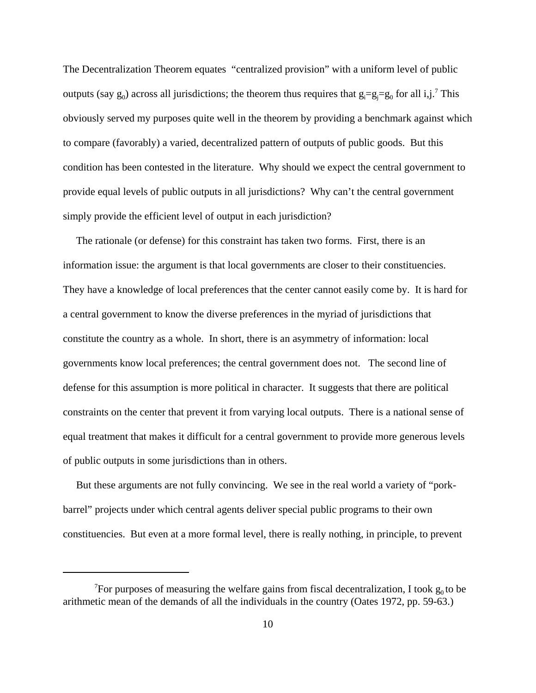The Decentralization Theorem equates "centralized provision" with a uniform level of public outputs (say  $g_0$ ) across all jurisdictions; the theorem thus requires that  $g_i = g_j = g_0$  for all i,j.<sup>7</sup> This obviously served my purposes quite well in the theorem by providing a benchmark against which to compare (favorably) a varied, decentralized pattern of outputs of public goods. But this condition has been contested in the literature. Why should we expect the central government to provide equal levels of public outputs in all jurisdictions? Why can't the central government simply provide the efficient level of output in each jurisdiction?

 The rationale (or defense) for this constraint has taken two forms. First, there is an information issue: the argument is that local governments are closer to their constituencies. They have a knowledge of local preferences that the center cannot easily come by. It is hard for a central government to know the diverse preferences in the myriad of jurisdictions that constitute the country as a whole. In short, there is an asymmetry of information: local governments know local preferences; the central government does not. The second line of defense for this assumption is more political in character. It suggests that there are political constraints on the center that prevent it from varying local outputs. There is a national sense of equal treatment that makes it difficult for a central government to provide more generous levels of public outputs in some jurisdictions than in others.

 But these arguments are not fully convincing. We see in the real world a variety of "porkbarrel" projects under which central agents deliver special public programs to their own constituencies. But even at a more formal level, there is really nothing, in principle, to prevent

<sup>&</sup>lt;sup>7</sup>For purposes of measuring the welfare gains from fiscal decentralization, I took  $g_0$  to be arithmetic mean of the demands of all the individuals in the country (Oates 1972, pp. 59-63.)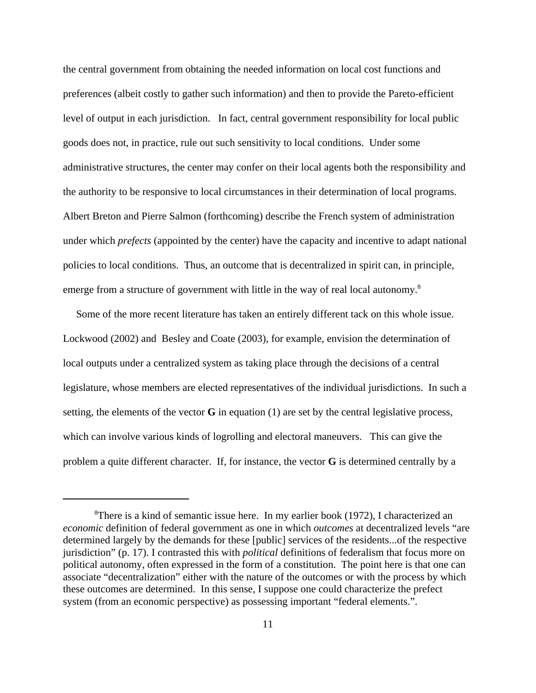the central government from obtaining the needed information on local cost functions and preferences (albeit costly to gather such information) and then to provide the Pareto-efficient level of output in each jurisdiction. In fact, central government responsibility for local public goods does not, in practice, rule out such sensitivity to local conditions. Under some administrative structures, the center may confer on their local agents both the responsibility and the authority to be responsive to local circumstances in their determination of local programs. Albert Breton and Pierre Salmon (forthcoming) describe the French system of administration under which *prefects* (appointed by the center) have the capacity and incentive to adapt national policies to local conditions. Thus, an outcome that is decentralized in spirit can, in principle, emerge from a structure of government with little in the way of real local autonomy.<sup>8</sup>

 Some of the more recent literature has taken an entirely different tack on this whole issue. Lockwood (2002) and Besley and Coate (2003), for example, envision the determination of local outputs under a centralized system as taking place through the decisions of a central legislature, whose members are elected representatives of the individual jurisdictions. In such a setting, the elements of the vector **G** in equation (1) are set by the central legislative process, which can involve various kinds of logrolling and electoral maneuvers. This can give the problem a quite different character. If, for instance, the vector **G** is determined centrally by a

<sup>&</sup>lt;sup>8</sup>There is a kind of semantic issue here. In my earlier book (1972), I characterized an *economic* definition of federal government as one in which *outcomes* at decentralized levels "are determined largely by the demands for these [public] services of the residents...of the respective jurisdiction" (p. 17). I contrasted this with *political* definitions of federalism that focus more on political autonomy, often expressed in the form of a constitution. The point here is that one can associate "decentralization" either with the nature of the outcomes or with the process by which these outcomes are determined. In this sense, I suppose one could characterize the prefect system (from an economic perspective) as possessing important "federal elements.".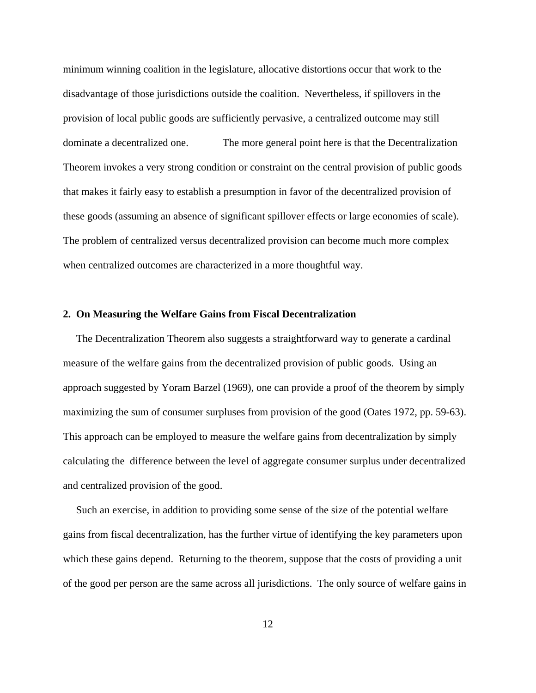minimum winning coalition in the legislature, allocative distortions occur that work to the disadvantage of those jurisdictions outside the coalition. Nevertheless, if spillovers in the provision of local public goods are sufficiently pervasive, a centralized outcome may still dominate a decentralized one. The more general point here is that the Decentralization Theorem invokes a very strong condition or constraint on the central provision of public goods that makes it fairly easy to establish a presumption in favor of the decentralized provision of these goods (assuming an absence of significant spillover effects or large economies of scale). The problem of centralized versus decentralized provision can become much more complex when centralized outcomes are characterized in a more thoughtful way.

### **2. On Measuring the Welfare Gains from Fiscal Decentralization**

 The Decentralization Theorem also suggests a straightforward way to generate a cardinal measure of the welfare gains from the decentralized provision of public goods. Using an approach suggested by Yoram Barzel (1969), one can provide a proof of the theorem by simply maximizing the sum of consumer surpluses from provision of the good (Oates 1972, pp. 59-63). This approach can be employed to measure the welfare gains from decentralization by simply calculating the difference between the level of aggregate consumer surplus under decentralized and centralized provision of the good.

 Such an exercise, in addition to providing some sense of the size of the potential welfare gains from fiscal decentralization, has the further virtue of identifying the key parameters upon which these gains depend. Returning to the theorem, suppose that the costs of providing a unit of the good per person are the same across all jurisdictions. The only source of welfare gains in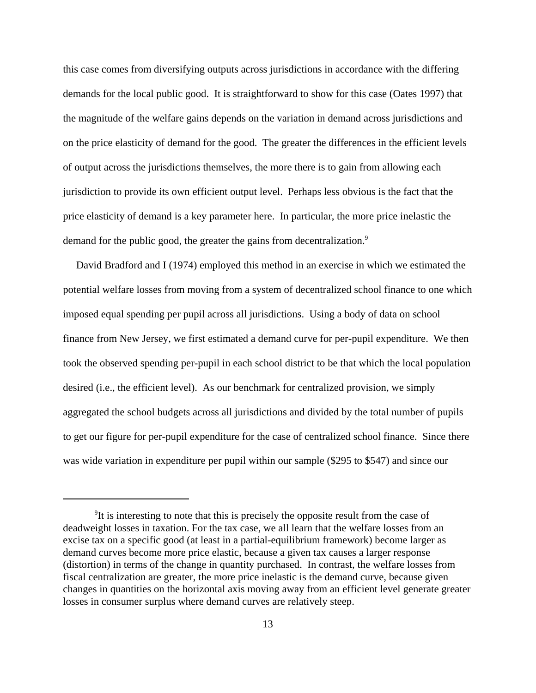this case comes from diversifying outputs across jurisdictions in accordance with the differing demands for the local public good. It is straightforward to show for this case (Oates 1997) that the magnitude of the welfare gains depends on the variation in demand across jurisdictions and on the price elasticity of demand for the good. The greater the differences in the efficient levels of output across the jurisdictions themselves, the more there is to gain from allowing each jurisdiction to provide its own efficient output level. Perhaps less obvious is the fact that the price elasticity of demand is a key parameter here. In particular, the more price inelastic the demand for the public good, the greater the gains from decentralization.<sup>9</sup>

 David Bradford and I (1974) employed this method in an exercise in which we estimated the potential welfare losses from moving from a system of decentralized school finance to one which imposed equal spending per pupil across all jurisdictions. Using a body of data on school finance from New Jersey, we first estimated a demand curve for per-pupil expenditure. We then took the observed spending per-pupil in each school district to be that which the local population desired (i.e., the efficient level). As our benchmark for centralized provision, we simply aggregated the school budgets across all jurisdictions and divided by the total number of pupils to get our figure for per-pupil expenditure for the case of centralized school finance. Since there was wide variation in expenditure per pupil within our sample (\$295 to \$547) and since our

<sup>&</sup>lt;sup>9</sup>It is interesting to note that this is precisely the opposite result from the case of deadweight losses in taxation. For the tax case, we all learn that the welfare losses from an excise tax on a specific good (at least in a partial-equilibrium framework) become larger as demand curves become more price elastic, because a given tax causes a larger response (distortion) in terms of the change in quantity purchased. In contrast, the welfare losses from fiscal centralization are greater, the more price inelastic is the demand curve, because given changes in quantities on the horizontal axis moving away from an efficient level generate greater losses in consumer surplus where demand curves are relatively steep.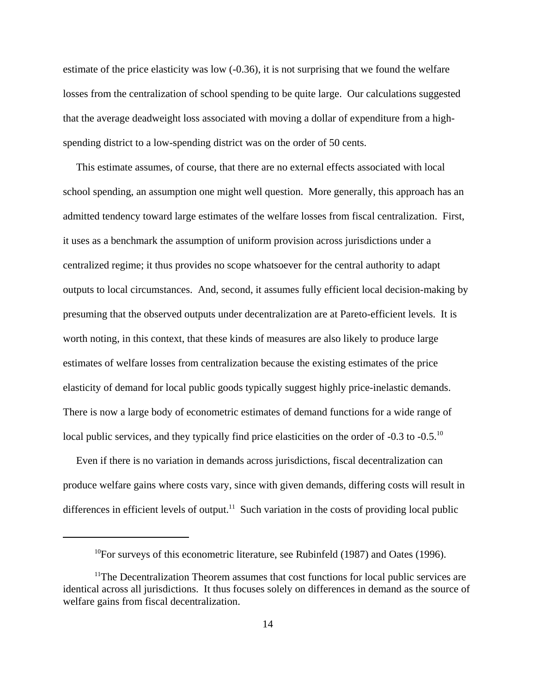estimate of the price elasticity was low (-0.36), it is not surprising that we found the welfare losses from the centralization of school spending to be quite large. Our calculations suggested that the average deadweight loss associated with moving a dollar of expenditure from a highspending district to a low-spending district was on the order of 50 cents.

 This estimate assumes, of course, that there are no external effects associated with local school spending, an assumption one might well question. More generally, this approach has an admitted tendency toward large estimates of the welfare losses from fiscal centralization. First, it uses as a benchmark the assumption of uniform provision across jurisdictions under a centralized regime; it thus provides no scope whatsoever for the central authority to adapt outputs to local circumstances. And, second, it assumes fully efficient local decision-making by presuming that the observed outputs under decentralization are at Pareto-efficient levels. It is worth noting, in this context, that these kinds of measures are also likely to produce large estimates of welfare losses from centralization because the existing estimates of the price elasticity of demand for local public goods typically suggest highly price-inelastic demands. There is now a large body of econometric estimates of demand functions for a wide range of local public services, and they typically find price elasticities on the order of -0.3 to -0.5.<sup>10</sup>

 Even if there is no variation in demands across jurisdictions, fiscal decentralization can produce welfare gains where costs vary, since with given demands, differing costs will result in differences in efficient levels of output.<sup>11</sup> Such variation in the costs of providing local public

 $10$ For surveys of this econometric literature, see Rubinfeld (1987) and Oates (1996).

 $11$ The Decentralization Theorem assumes that cost functions for local public services are identical across all jurisdictions. It thus focuses solely on differences in demand as the source of welfare gains from fiscal decentralization.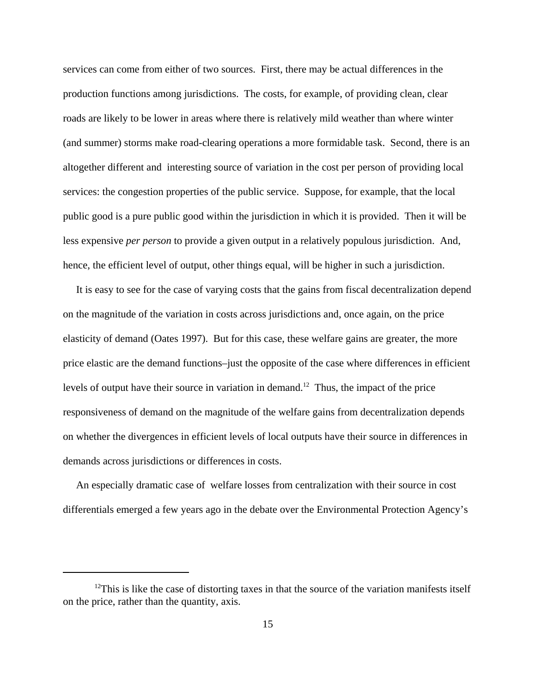services can come from either of two sources. First, there may be actual differences in the production functions among jurisdictions. The costs, for example, of providing clean, clear roads are likely to be lower in areas where there is relatively mild weather than where winter (and summer) storms make road-clearing operations a more formidable task. Second, there is an altogether different and interesting source of variation in the cost per person of providing local services: the congestion properties of the public service. Suppose, for example, that the local public good is a pure public good within the jurisdiction in which it is provided. Then it will be less expensive *per person* to provide a given output in a relatively populous jurisdiction. And, hence, the efficient level of output, other things equal, will be higher in such a jurisdiction.

 It is easy to see for the case of varying costs that the gains from fiscal decentralization depend on the magnitude of the variation in costs across jurisdictions and, once again, on the price elasticity of demand (Oates 1997). But for this case, these welfare gains are greater, the more price elastic are the demand functions–just the opposite of the case where differences in efficient levels of output have their source in variation in demand.<sup>12</sup> Thus, the impact of the price responsiveness of demand on the magnitude of the welfare gains from decentralization depends on whether the divergences in efficient levels of local outputs have their source in differences in demands across jurisdictions or differences in costs.

 An especially dramatic case of welfare losses from centralization with their source in cost differentials emerged a few years ago in the debate over the Environmental Protection Agency's

 $12$ This is like the case of distorting taxes in that the source of the variation manifests itself on the price, rather than the quantity, axis.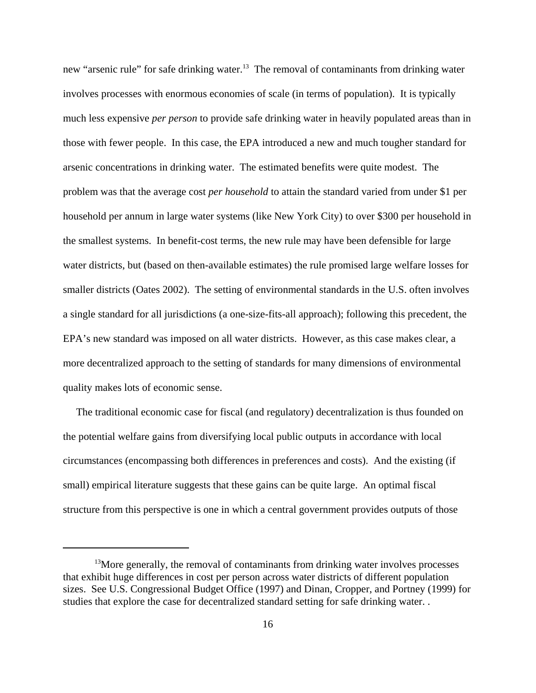new "arsenic rule" for safe drinking water.<sup>13</sup> The removal of contaminants from drinking water involves processes with enormous economies of scale (in terms of population). It is typically much less expensive *per person* to provide safe drinking water in heavily populated areas than in those with fewer people. In this case, the EPA introduced a new and much tougher standard for arsenic concentrations in drinking water. The estimated benefits were quite modest. The problem was that the average cost *per household* to attain the standard varied from under \$1 per household per annum in large water systems (like New York City) to over \$300 per household in the smallest systems. In benefit-cost terms, the new rule may have been defensible for large water districts, but (based on then-available estimates) the rule promised large welfare losses for smaller districts (Oates 2002). The setting of environmental standards in the U.S. often involves a single standard for all jurisdictions (a one-size-fits-all approach); following this precedent, the EPA's new standard was imposed on all water districts. However, as this case makes clear, a more decentralized approach to the setting of standards for many dimensions of environmental quality makes lots of economic sense.

 The traditional economic case for fiscal (and regulatory) decentralization is thus founded on the potential welfare gains from diversifying local public outputs in accordance with local circumstances (encompassing both differences in preferences and costs). And the existing (if small) empirical literature suggests that these gains can be quite large. An optimal fiscal structure from this perspective is one in which a central government provides outputs of those

 $13$ More generally, the removal of contaminants from drinking water involves processes that exhibit huge differences in cost per person across water districts of different population sizes. See U.S. Congressional Budget Office (1997) and Dinan, Cropper, and Portney (1999) for studies that explore the case for decentralized standard setting for safe drinking water. .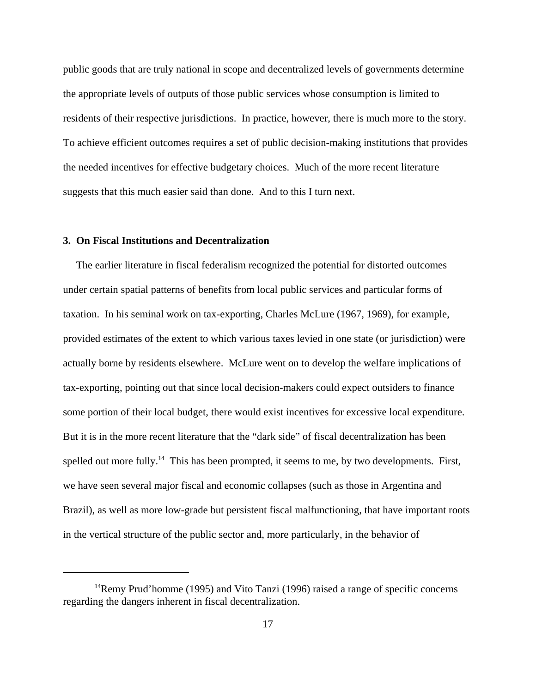public goods that are truly national in scope and decentralized levels of governments determine the appropriate levels of outputs of those public services whose consumption is limited to residents of their respective jurisdictions. In practice, however, there is much more to the story. To achieve efficient outcomes requires a set of public decision-making institutions that provides the needed incentives for effective budgetary choices. Much of the more recent literature suggests that this much easier said than done. And to this I turn next.

## **3. On Fiscal Institutions and Decentralization**

 The earlier literature in fiscal federalism recognized the potential for distorted outcomes under certain spatial patterns of benefits from local public services and particular forms of taxation. In his seminal work on tax-exporting, Charles McLure (1967, 1969), for example, provided estimates of the extent to which various taxes levied in one state (or jurisdiction) were actually borne by residents elsewhere. McLure went on to develop the welfare implications of tax-exporting, pointing out that since local decision-makers could expect outsiders to finance some portion of their local budget, there would exist incentives for excessive local expenditure. But it is in the more recent literature that the "dark side" of fiscal decentralization has been spelled out more fully.<sup>14</sup> This has been prompted, it seems to me, by two developments. First, we have seen several major fiscal and economic collapses (such as those in Argentina and Brazil), as well as more low-grade but persistent fiscal malfunctioning, that have important roots in the vertical structure of the public sector and, more particularly, in the behavior of

 $14$ Remy Prud'homme (1995) and Vito Tanzi (1996) raised a range of specific concerns regarding the dangers inherent in fiscal decentralization.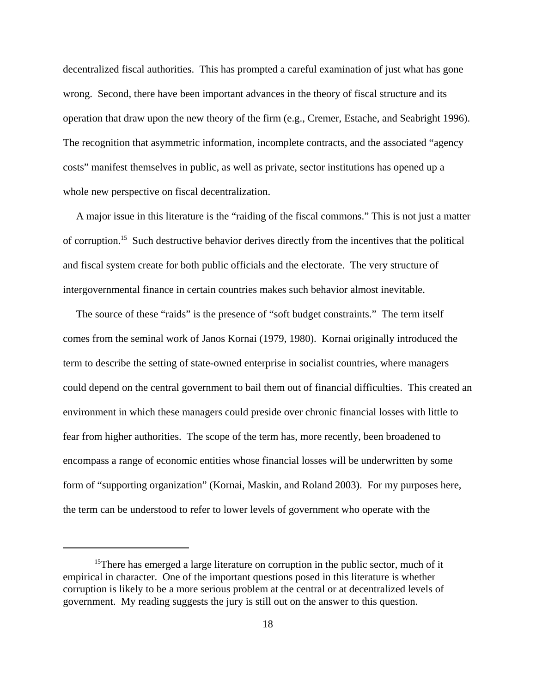decentralized fiscal authorities. This has prompted a careful examination of just what has gone wrong. Second, there have been important advances in the theory of fiscal structure and its operation that draw upon the new theory of the firm (e.g., Cremer, Estache, and Seabright 1996). The recognition that asymmetric information, incomplete contracts, and the associated "agency costs" manifest themselves in public, as well as private, sector institutions has opened up a whole new perspective on fiscal decentralization.

 A major issue in this literature is the "raiding of the fiscal commons." This is not just a matter of corruption.15 Such destructive behavior derives directly from the incentives that the political and fiscal system create for both public officials and the electorate. The very structure of intergovernmental finance in certain countries makes such behavior almost inevitable.

 The source of these "raids" is the presence of "soft budget constraints." The term itself comes from the seminal work of Janos Kornai (1979, 1980). Kornai originally introduced the term to describe the setting of state-owned enterprise in socialist countries, where managers could depend on the central government to bail them out of financial difficulties. This created an environment in which these managers could preside over chronic financial losses with little to fear from higher authorities. The scope of the term has, more recently, been broadened to encompass a range of economic entities whose financial losses will be underwritten by some form of "supporting organization" (Kornai, Maskin, and Roland 2003). For my purposes here, the term can be understood to refer to lower levels of government who operate with the

<sup>&</sup>lt;sup>15</sup>There has emerged a large literature on corruption in the public sector, much of it empirical in character. One of the important questions posed in this literature is whether corruption is likely to be a more serious problem at the central or at decentralized levels of government. My reading suggests the jury is still out on the answer to this question.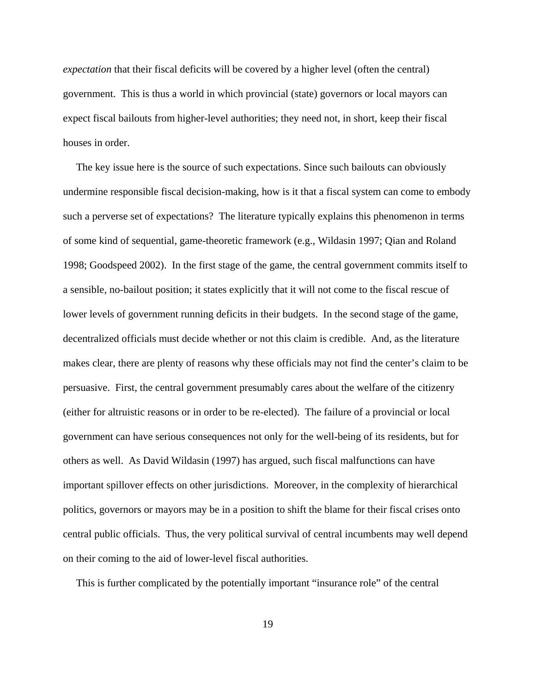*expectation* that their fiscal deficits will be covered by a higher level (often the central) government. This is thus a world in which provincial (state) governors or local mayors can expect fiscal bailouts from higher-level authorities; they need not, in short, keep their fiscal houses in order.

 The key issue here is the source of such expectations. Since such bailouts can obviously undermine responsible fiscal decision-making, how is it that a fiscal system can come to embody such a perverse set of expectations? The literature typically explains this phenomenon in terms of some kind of sequential, game-theoretic framework (e.g., Wildasin 1997; Qian and Roland 1998; Goodspeed 2002). In the first stage of the game, the central government commits itself to a sensible, no-bailout position; it states explicitly that it will not come to the fiscal rescue of lower levels of government running deficits in their budgets. In the second stage of the game, decentralized officials must decide whether or not this claim is credible. And, as the literature makes clear, there are plenty of reasons why these officials may not find the center's claim to be persuasive. First, the central government presumably cares about the welfare of the citizenry (either for altruistic reasons or in order to be re-elected). The failure of a provincial or local government can have serious consequences not only for the well-being of its residents, but for others as well. As David Wildasin (1997) has argued, such fiscal malfunctions can have important spillover effects on other jurisdictions. Moreover, in the complexity of hierarchical politics, governors or mayors may be in a position to shift the blame for their fiscal crises onto central public officials. Thus, the very political survival of central incumbents may well depend on their coming to the aid of lower-level fiscal authorities.

This is further complicated by the potentially important "insurance role" of the central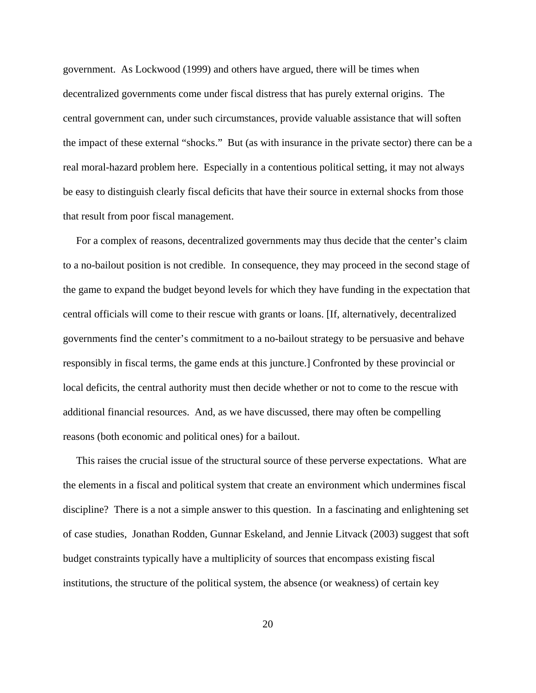government. As Lockwood (1999) and others have argued, there will be times when decentralized governments come under fiscal distress that has purely external origins. The central government can, under such circumstances, provide valuable assistance that will soften the impact of these external "shocks." But (as with insurance in the private sector) there can be a real moral-hazard problem here. Especially in a contentious political setting, it may not always be easy to distinguish clearly fiscal deficits that have their source in external shocks from those that result from poor fiscal management.

 For a complex of reasons, decentralized governments may thus decide that the center's claim to a no-bailout position is not credible. In consequence, they may proceed in the second stage of the game to expand the budget beyond levels for which they have funding in the expectation that central officials will come to their rescue with grants or loans. [If, alternatively, decentralized governments find the center's commitment to a no-bailout strategy to be persuasive and behave responsibly in fiscal terms, the game ends at this juncture.] Confronted by these provincial or local deficits, the central authority must then decide whether or not to come to the rescue with additional financial resources. And, as we have discussed, there may often be compelling reasons (both economic and political ones) for a bailout.

 This raises the crucial issue of the structural source of these perverse expectations. What are the elements in a fiscal and political system that create an environment which undermines fiscal discipline? There is a not a simple answer to this question. In a fascinating and enlightening set of case studies, Jonathan Rodden, Gunnar Eskeland, and Jennie Litvack (2003) suggest that soft budget constraints typically have a multiplicity of sources that encompass existing fiscal institutions, the structure of the political system, the absence (or weakness) of certain key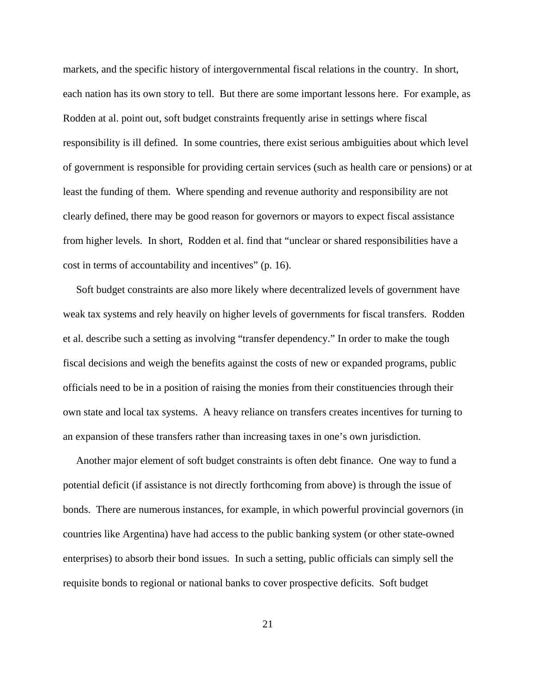markets, and the specific history of intergovernmental fiscal relations in the country. In short, each nation has its own story to tell. But there are some important lessons here. For example, as Rodden at al. point out, soft budget constraints frequently arise in settings where fiscal responsibility is ill defined. In some countries, there exist serious ambiguities about which level of government is responsible for providing certain services (such as health care or pensions) or at least the funding of them. Where spending and revenue authority and responsibility are not clearly defined, there may be good reason for governors or mayors to expect fiscal assistance from higher levels. In short, Rodden et al. find that "unclear or shared responsibilities have a cost in terms of accountability and incentives" (p. 16).

 Soft budget constraints are also more likely where decentralized levels of government have weak tax systems and rely heavily on higher levels of governments for fiscal transfers. Rodden et al. describe such a setting as involving "transfer dependency." In order to make the tough fiscal decisions and weigh the benefits against the costs of new or expanded programs, public officials need to be in a position of raising the monies from their constituencies through their own state and local tax systems. A heavy reliance on transfers creates incentives for turning to an expansion of these transfers rather than increasing taxes in one's own jurisdiction.

 Another major element of soft budget constraints is often debt finance. One way to fund a potential deficit (if assistance is not directly forthcoming from above) is through the issue of bonds. There are numerous instances, for example, in which powerful provincial governors (in countries like Argentina) have had access to the public banking system (or other state-owned enterprises) to absorb their bond issues. In such a setting, public officials can simply sell the requisite bonds to regional or national banks to cover prospective deficits. Soft budget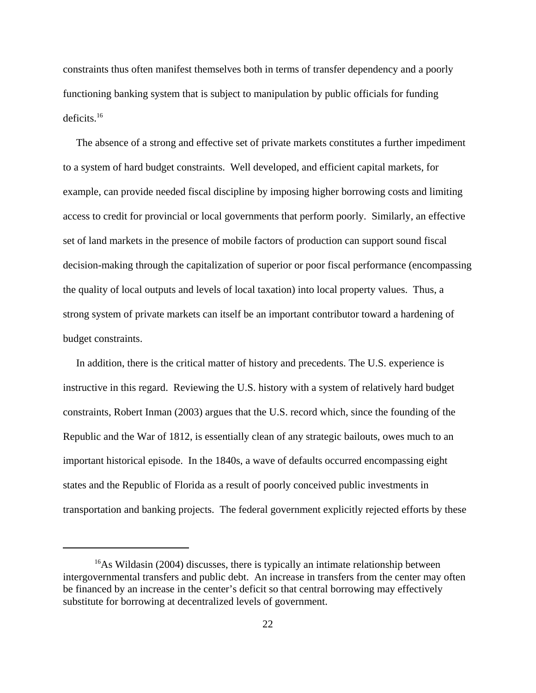constraints thus often manifest themselves both in terms of transfer dependency and a poorly functioning banking system that is subject to manipulation by public officials for funding deficits.16

 The absence of a strong and effective set of private markets constitutes a further impediment to a system of hard budget constraints. Well developed, and efficient capital markets, for example, can provide needed fiscal discipline by imposing higher borrowing costs and limiting access to credit for provincial or local governments that perform poorly. Similarly, an effective set of land markets in the presence of mobile factors of production can support sound fiscal decision-making through the capitalization of superior or poor fiscal performance (encompassing the quality of local outputs and levels of local taxation) into local property values. Thus, a strong system of private markets can itself be an important contributor toward a hardening of budget constraints.

 In addition, there is the critical matter of history and precedents. The U.S. experience is instructive in this regard. Reviewing the U.S. history with a system of relatively hard budget constraints, Robert Inman (2003) argues that the U.S. record which, since the founding of the Republic and the War of 1812, is essentially clean of any strategic bailouts, owes much to an important historical episode. In the 1840s, a wave of defaults occurred encompassing eight states and the Republic of Florida as a result of poorly conceived public investments in transportation and banking projects. The federal government explicitly rejected efforts by these

 $16$ As Wildasin (2004) discusses, there is typically an intimate relationship between intergovernmental transfers and public debt. An increase in transfers from the center may often be financed by an increase in the center's deficit so that central borrowing may effectively substitute for borrowing at decentralized levels of government.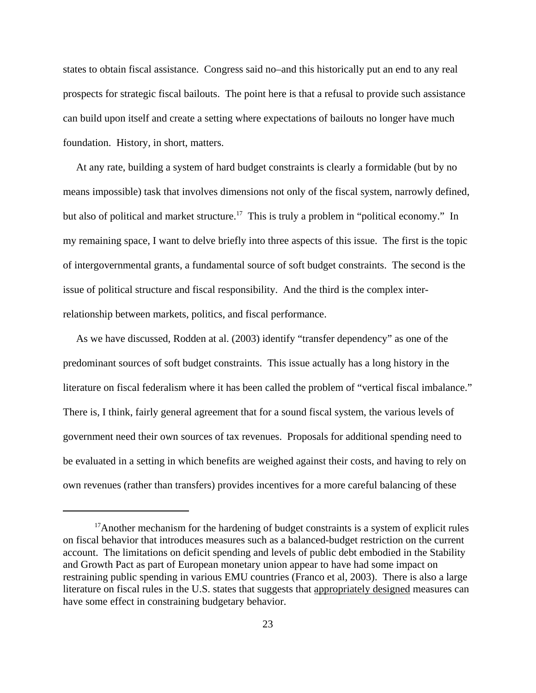states to obtain fiscal assistance. Congress said no–and this historically put an end to any real prospects for strategic fiscal bailouts. The point here is that a refusal to provide such assistance can build upon itself and create a setting where expectations of bailouts no longer have much foundation. History, in short, matters.

 At any rate, building a system of hard budget constraints is clearly a formidable (but by no means impossible) task that involves dimensions not only of the fiscal system, narrowly defined, but also of political and market structure.<sup>17</sup> This is truly a problem in "political economy." In my remaining space, I want to delve briefly into three aspects of this issue. The first is the topic of intergovernmental grants, a fundamental source of soft budget constraints. The second is the issue of political structure and fiscal responsibility. And the third is the complex interrelationship between markets, politics, and fiscal performance.

 As we have discussed, Rodden at al. (2003) identify "transfer dependency" as one of the predominant sources of soft budget constraints. This issue actually has a long history in the literature on fiscal federalism where it has been called the problem of "vertical fiscal imbalance." There is, I think, fairly general agreement that for a sound fiscal system, the various levels of government need their own sources of tax revenues. Proposals for additional spending need to be evaluated in a setting in which benefits are weighed against their costs, and having to rely on own revenues (rather than transfers) provides incentives for a more careful balancing of these

<sup>&</sup>lt;sup>17</sup>Another mechanism for the hardening of budget constraints is a system of explicit rules on fiscal behavior that introduces measures such as a balanced-budget restriction on the current account. The limitations on deficit spending and levels of public debt embodied in the Stability and Growth Pact as part of European monetary union appear to have had some impact on restraining public spending in various EMU countries (Franco et al, 2003). There is also a large literature on fiscal rules in the U.S. states that suggests that appropriately designed measures can have some effect in constraining budgetary behavior.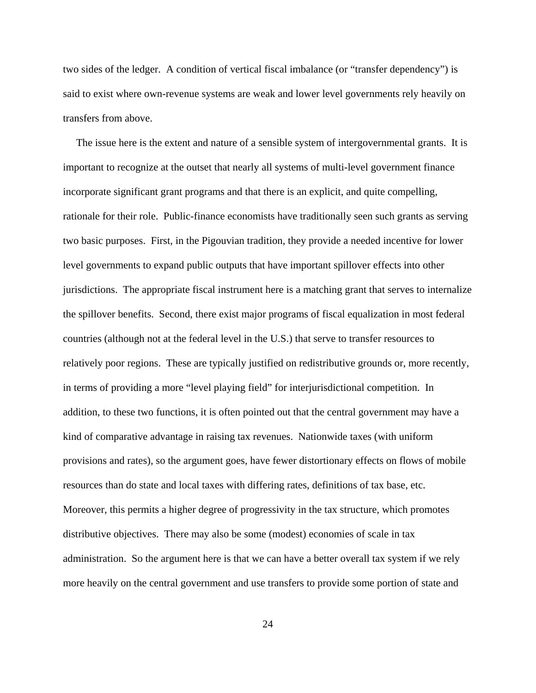two sides of the ledger. A condition of vertical fiscal imbalance (or "transfer dependency") is said to exist where own-revenue systems are weak and lower level governments rely heavily on transfers from above.

 The issue here is the extent and nature of a sensible system of intergovernmental grants. It is important to recognize at the outset that nearly all systems of multi-level government finance incorporate significant grant programs and that there is an explicit, and quite compelling, rationale for their role. Public-finance economists have traditionally seen such grants as serving two basic purposes. First, in the Pigouvian tradition, they provide a needed incentive for lower level governments to expand public outputs that have important spillover effects into other jurisdictions. The appropriate fiscal instrument here is a matching grant that serves to internalize the spillover benefits. Second, there exist major programs of fiscal equalization in most federal countries (although not at the federal level in the U.S.) that serve to transfer resources to relatively poor regions. These are typically justified on redistributive grounds or, more recently, in terms of providing a more "level playing field" for interjurisdictional competition. In addition, to these two functions, it is often pointed out that the central government may have a kind of comparative advantage in raising tax revenues. Nationwide taxes (with uniform provisions and rates), so the argument goes, have fewer distortionary effects on flows of mobile resources than do state and local taxes with differing rates, definitions of tax base, etc. Moreover, this permits a higher degree of progressivity in the tax structure, which promotes distributive objectives. There may also be some (modest) economies of scale in tax administration. So the argument here is that we can have a better overall tax system if we rely more heavily on the central government and use transfers to provide some portion of state and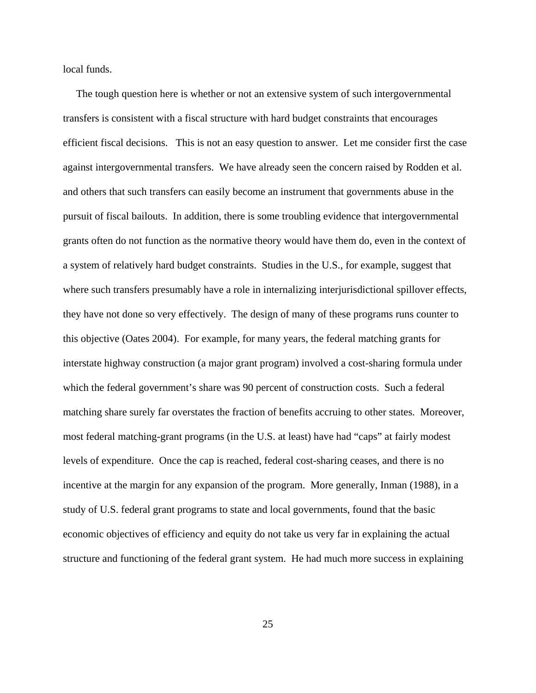local funds.

 The tough question here is whether or not an extensive system of such intergovernmental transfers is consistent with a fiscal structure with hard budget constraints that encourages efficient fiscal decisions. This is not an easy question to answer. Let me consider first the case against intergovernmental transfers. We have already seen the concern raised by Rodden et al. and others that such transfers can easily become an instrument that governments abuse in the pursuit of fiscal bailouts. In addition, there is some troubling evidence that intergovernmental grants often do not function as the normative theory would have them do, even in the context of a system of relatively hard budget constraints. Studies in the U.S., for example, suggest that where such transfers presumably have a role in internalizing interjurisdictional spillover effects, they have not done so very effectively. The design of many of these programs runs counter to this objective (Oates 2004). For example, for many years, the federal matching grants for interstate highway construction (a major grant program) involved a cost-sharing formula under which the federal government's share was 90 percent of construction costs. Such a federal matching share surely far overstates the fraction of benefits accruing to other states. Moreover, most federal matching-grant programs (in the U.S. at least) have had "caps" at fairly modest levels of expenditure. Once the cap is reached, federal cost-sharing ceases, and there is no incentive at the margin for any expansion of the program. More generally, Inman (1988), in a study of U.S. federal grant programs to state and local governments, found that the basic economic objectives of efficiency and equity do not take us very far in explaining the actual structure and functioning of the federal grant system. He had much more success in explaining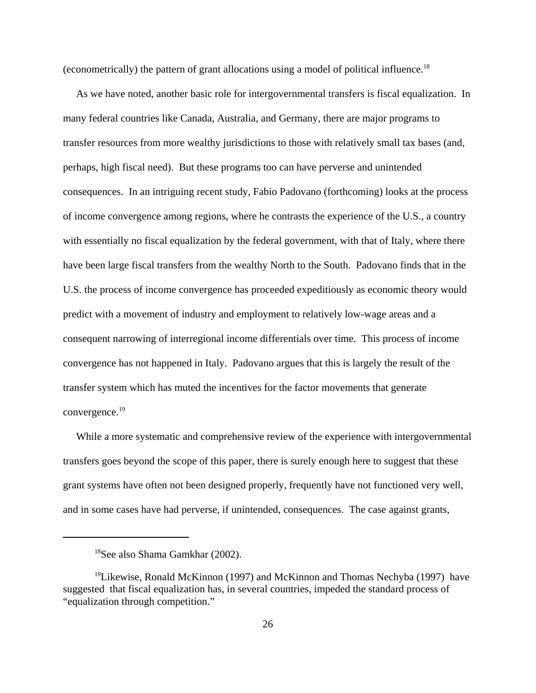(econometrically) the pattern of grant allocations using a model of political influence.18

 As we have noted, another basic role for intergovernmental transfers is fiscal equalization. In many federal countries like Canada, Australia, and Germany, there are major programs to transfer resources from more wealthy jurisdictions to those with relatively small tax bases (and, perhaps, high fiscal need). But these programs too can have perverse and unintended consequences. In an intriguing recent study, Fabio Padovano (forthcoming) looks at the process of income convergence among regions, where he contrasts the experience of the U.S., a country with essentially no fiscal equalization by the federal government, with that of Italy, where there have been large fiscal transfers from the wealthy North to the South. Padovano finds that in the U.S. the process of income convergence has proceeded expeditiously as economic theory would predict with a movement of industry and employment to relatively low-wage areas and a consequent narrowing of interregional income differentials over time. This process of income convergence has not happened in Italy. Padovano argues that this is largely the result of the transfer system which has muted the incentives for the factor movements that generate convergence.<sup>19</sup>

 While a more systematic and comprehensive review of the experience with intergovernmental transfers goes beyond the scope of this paper, there is surely enough here to suggest that these grant systems have often not been designed properly, frequently have not functioned very well, and in some cases have had perverse, if unintended, consequences. The case against grants,

<sup>18</sup>See also Shama Gamkhar (2002).

<sup>&</sup>lt;sup>19</sup>Likewise, Ronald McKinnon (1997) and McKinnon and Thomas Nechyba (1997) have suggested that fiscal equalization has, in several countries, impeded the standard process of "equalization through competition."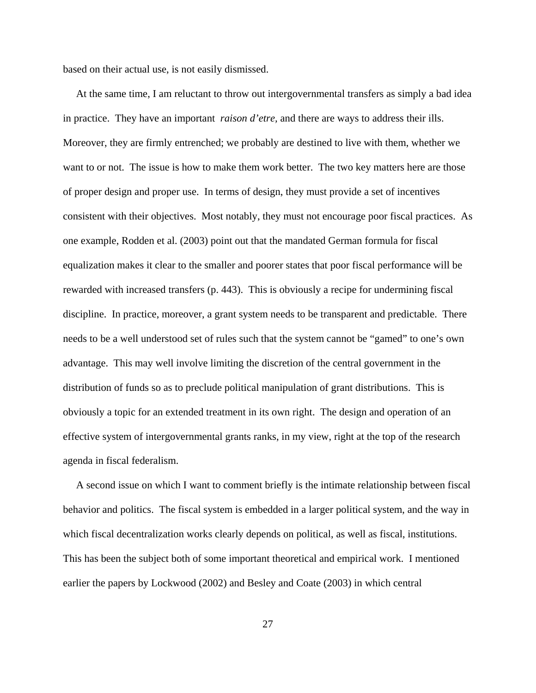based on their actual use, is not easily dismissed.

 At the same time, I am reluctant to throw out intergovernmental transfers as simply a bad idea in practice. They have an important *raison d'etre,* and there are ways to address their ills. Moreover, they are firmly entrenched; we probably are destined to live with them, whether we want to or not. The issue is how to make them work better. The two key matters here are those of proper design and proper use. In terms of design, they must provide a set of incentives consistent with their objectives. Most notably, they must not encourage poor fiscal practices. As one example, Rodden et al. (2003) point out that the mandated German formula for fiscal equalization makes it clear to the smaller and poorer states that poor fiscal performance will be rewarded with increased transfers (p. 443). This is obviously a recipe for undermining fiscal discipline. In practice, moreover, a grant system needs to be transparent and predictable. There needs to be a well understood set of rules such that the system cannot be "gamed" to one's own advantage. This may well involve limiting the discretion of the central government in the distribution of funds so as to preclude political manipulation of grant distributions. This is obviously a topic for an extended treatment in its own right. The design and operation of an effective system of intergovernmental grants ranks, in my view, right at the top of the research agenda in fiscal federalism.

 A second issue on which I want to comment briefly is the intimate relationship between fiscal behavior and politics. The fiscal system is embedded in a larger political system, and the way in which fiscal decentralization works clearly depends on political, as well as fiscal, institutions. This has been the subject both of some important theoretical and empirical work. I mentioned earlier the papers by Lockwood (2002) and Besley and Coate (2003) in which central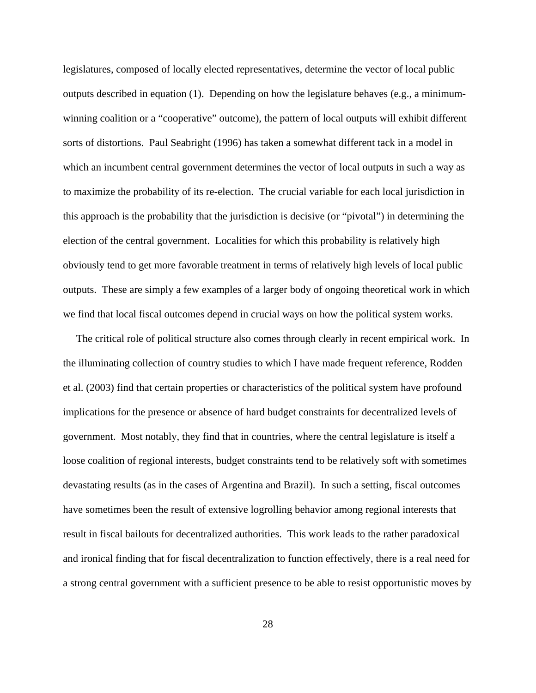legislatures, composed of locally elected representatives, determine the vector of local public outputs described in equation (1). Depending on how the legislature behaves (e.g., a minimumwinning coalition or a "cooperative" outcome), the pattern of local outputs will exhibit different sorts of distortions. Paul Seabright (1996) has taken a somewhat different tack in a model in which an incumbent central government determines the vector of local outputs in such a way as to maximize the probability of its re-election. The crucial variable for each local jurisdiction in this approach is the probability that the jurisdiction is decisive (or "pivotal") in determining the election of the central government. Localities for which this probability is relatively high obviously tend to get more favorable treatment in terms of relatively high levels of local public outputs. These are simply a few examples of a larger body of ongoing theoretical work in which we find that local fiscal outcomes depend in crucial ways on how the political system works.

 The critical role of political structure also comes through clearly in recent empirical work. In the illuminating collection of country studies to which I have made frequent reference, Rodden et al. (2003) find that certain properties or characteristics of the political system have profound implications for the presence or absence of hard budget constraints for decentralized levels of government. Most notably, they find that in countries, where the central legislature is itself a loose coalition of regional interests, budget constraints tend to be relatively soft with sometimes devastating results (as in the cases of Argentina and Brazil). In such a setting, fiscal outcomes have sometimes been the result of extensive logrolling behavior among regional interests that result in fiscal bailouts for decentralized authorities. This work leads to the rather paradoxical and ironical finding that for fiscal decentralization to function effectively, there is a real need for a strong central government with a sufficient presence to be able to resist opportunistic moves by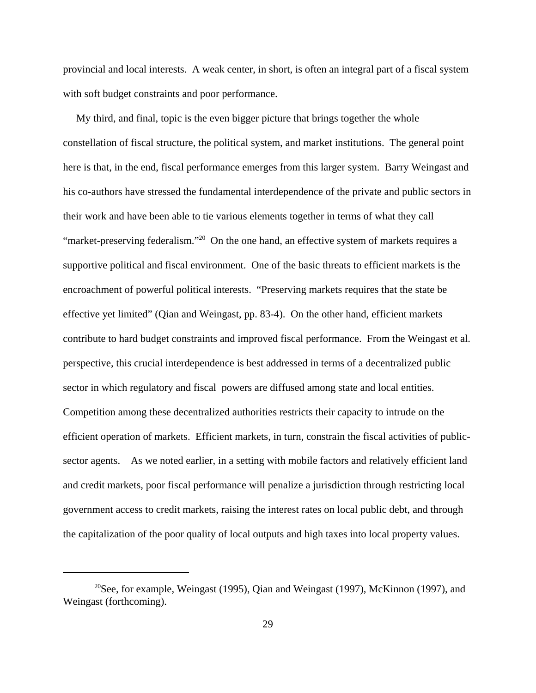provincial and local interests. A weak center, in short, is often an integral part of a fiscal system with soft budget constraints and poor performance.

 My third, and final, topic is the even bigger picture that brings together the whole constellation of fiscal structure, the political system, and market institutions. The general point here is that, in the end, fiscal performance emerges from this larger system. Barry Weingast and his co-authors have stressed the fundamental interdependence of the private and public sectors in their work and have been able to tie various elements together in terms of what they call "market-preserving federalism."<sup>20</sup> On the one hand, an effective system of markets requires a supportive political and fiscal environment. One of the basic threats to efficient markets is the encroachment of powerful political interests. "Preserving markets requires that the state be effective yet limited" (Qian and Weingast, pp. 83-4). On the other hand, efficient markets contribute to hard budget constraints and improved fiscal performance. From the Weingast et al. perspective, this crucial interdependence is best addressed in terms of a decentralized public sector in which regulatory and fiscal powers are diffused among state and local entities. Competition among these decentralized authorities restricts their capacity to intrude on the efficient operation of markets. Efficient markets, in turn, constrain the fiscal activities of publicsector agents. As we noted earlier, in a setting with mobile factors and relatively efficient land and credit markets, poor fiscal performance will penalize a jurisdiction through restricting local government access to credit markets, raising the interest rates on local public debt, and through the capitalization of the poor quality of local outputs and high taxes into local property values.

<sup>&</sup>lt;sup>20</sup>See, for example, Weingast (1995), Qian and Weingast (1997), McKinnon (1997), and Weingast (forthcoming).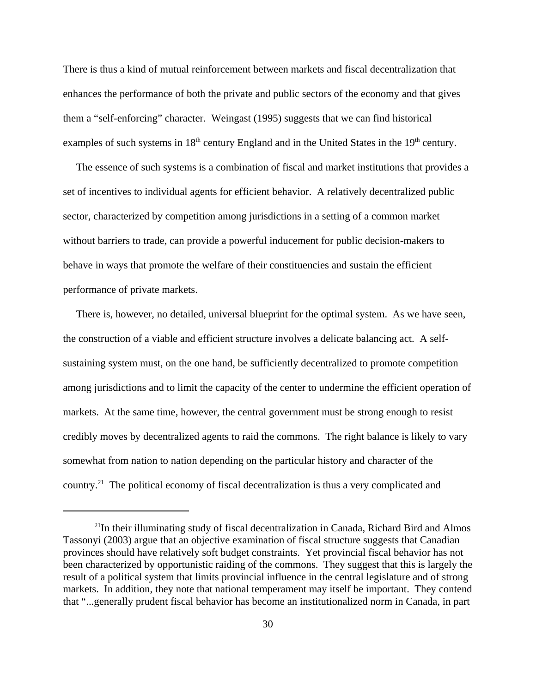There is thus a kind of mutual reinforcement between markets and fiscal decentralization that enhances the performance of both the private and public sectors of the economy and that gives them a "self-enforcing" character. Weingast (1995) suggests that we can find historical examples of such systems in  $18<sup>th</sup>$  century England and in the United States in the  $19<sup>th</sup>$  century.

 The essence of such systems is a combination of fiscal and market institutions that provides a set of incentives to individual agents for efficient behavior. A relatively decentralized public sector, characterized by competition among jurisdictions in a setting of a common market without barriers to trade, can provide a powerful inducement for public decision-makers to behave in ways that promote the welfare of their constituencies and sustain the efficient performance of private markets.

 There is, however, no detailed, universal blueprint for the optimal system. As we have seen, the construction of a viable and efficient structure involves a delicate balancing act. A selfsustaining system must, on the one hand, be sufficiently decentralized to promote competition among jurisdictions and to limit the capacity of the center to undermine the efficient operation of markets. At the same time, however, the central government must be strong enough to resist credibly moves by decentralized agents to raid the commons. The right balance is likely to vary somewhat from nation to nation depending on the particular history and character of the country.21 The political economy of fiscal decentralization is thus a very complicated and

<sup>&</sup>lt;sup>21</sup>In their illuminating study of fiscal decentralization in Canada, Richard Bird and Almos Tassonyi (2003) argue that an objective examination of fiscal structure suggests that Canadian provinces should have relatively soft budget constraints. Yet provincial fiscal behavior has not been characterized by opportunistic raiding of the commons. They suggest that this is largely the result of a political system that limits provincial influence in the central legislature and of strong markets. In addition, they note that national temperament may itself be important. They contend that "...generally prudent fiscal behavior has become an institutionalized norm in Canada, in part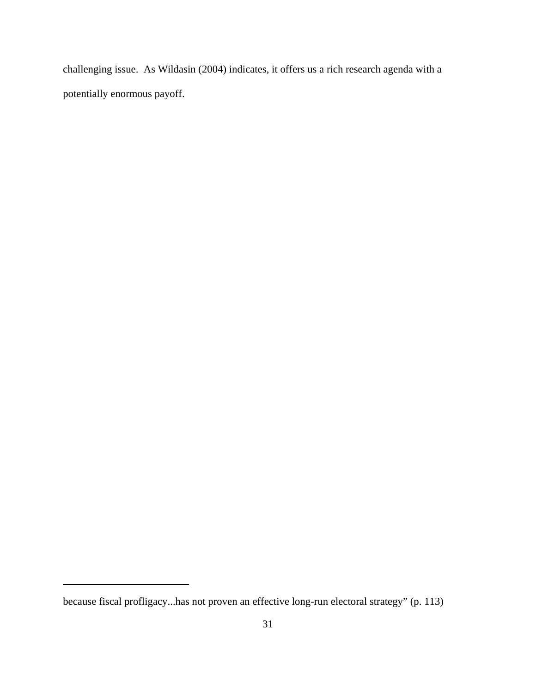challenging issue. As Wildasin (2004) indicates, it offers us a rich research agenda with a potentially enormous payoff.

because fiscal profligacy...has not proven an effective long-run electoral strategy" (p. 113)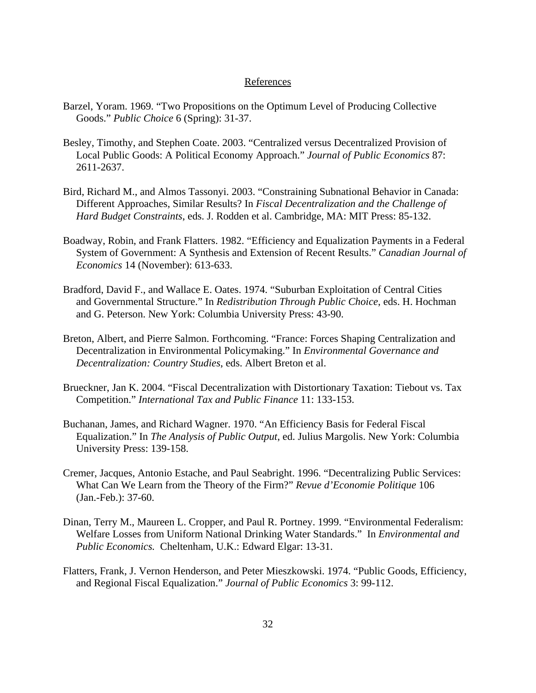### References

- Barzel, Yoram. 1969. "Two Propositions on the Optimum Level of Producing Collective Goods." *Public Choice* 6 (Spring): 31-37.
- Besley, Timothy, and Stephen Coate. 2003. "Centralized versus Decentralized Provision of Local Public Goods: A Political Economy Approach." *Journal of Public Economics* 87: 2611-2637.
- Bird, Richard M., and Almos Tassonyi. 2003. "Constraining Subnational Behavior in Canada: Different Approaches, Similar Results? In *Fiscal Decentralization and the Challenge of Hard Budget Constraints*, eds. J. Rodden et al. Cambridge, MA: MIT Press: 85-132.
- Boadway, Robin, and Frank Flatters. 1982. "Efficiency and Equalization Payments in a Federal System of Government: A Synthesis and Extension of Recent Results." *Canadian Journal of Economics* 14 (November): 613-633.
- Bradford, David F., and Wallace E. Oates. 1974. "Suburban Exploitation of Central Cities and Governmental Structure." In *Redistribution Through Public Choice*, eds. H. Hochman and G. Peterson. New York: Columbia University Press: 43-90.
- Breton, Albert, and Pierre Salmon. Forthcoming. "France: Forces Shaping Centralization and Decentralization in Environmental Policymaking." In *Environmental Governance and Decentralization: Country Studies*, eds. Albert Breton et al.
- Brueckner, Jan K. 2004. "Fiscal Decentralization with Distortionary Taxation: Tiebout vs. Tax Competition." *International Tax and Public Finance* 11: 133-153.
- Buchanan, James, and Richard Wagner. 1970. "An Efficiency Basis for Federal Fiscal Equalization." In *The Analysis of Public Output*, ed. Julius Margolis. New York: Columbia University Press: 139-158.
- Cremer, Jacques, Antonio Estache, and Paul Seabright. 1996. "Decentralizing Public Services: What Can We Learn from the Theory of the Firm?" *Revue d'Economie Politique* 106 (Jan.-Feb.): 37-60.
- Dinan, Terry M., Maureen L. Cropper, and Paul R. Portney. 1999. "Environmental Federalism: Welfare Losses from Uniform National Drinking Water Standards." In *Environmental and Public Economics.* Cheltenham, U.K.: Edward Elgar: 13-31.
- Flatters, Frank, J. Vernon Henderson, and Peter Mieszkowski. 1974. "Public Goods, Efficiency, and Regional Fiscal Equalization." *Journal of Public Economics* 3: 99-112.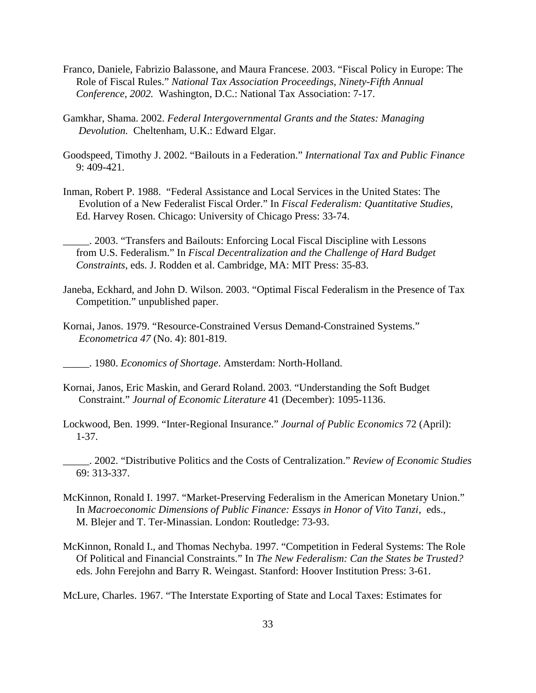- Franco, Daniele, Fabrizio Balassone, and Maura Francese. 2003. "Fiscal Policy in Europe: The Role of Fiscal Rules." *National Tax Association Proceedings, Ninety-Fifth Annual Conference, 2002.* Washington, D.C.: National Tax Association: 7-17.
- Gamkhar, Shama. 2002. *Federal Intergovernmental Grants and the States: Managing Devolution.* Cheltenham, U.K.: Edward Elgar.
- Goodspeed, Timothy J. 2002. "Bailouts in a Federation." *International Tax and Public Finance* 9: 409-421.
- Inman, Robert P. 1988. "Federal Assistance and Local Services in the United States: The Evolution of a New Federalist Fiscal Order." In *Fiscal Federalism: Quantitative Studies,* Ed. Harvey Rosen. Chicago: University of Chicago Press: 33-74.
	- \_\_\_\_\_. 2003. "Transfers and Bailouts: Enforcing Local Fiscal Discipline with Lessons from U.S. Federalism." In *Fiscal Decentralization and the Challenge of Hard Budget Constraints*, eds. J. Rodden et al. Cambridge, MA: MIT Press: 35-83.
- Janeba, Eckhard, and John D. Wilson. 2003. "Optimal Fiscal Federalism in the Presence of Tax Competition." unpublished paper.
- Kornai, Janos. 1979. "Resource-Constrained Versus Demand-Constrained Systems." *Econometrica 47* (No. 4): 801-819.
- \_\_\_\_\_. 1980. *Economics of Shortage*. Amsterdam: North-Holland.
- Kornai, Janos, Eric Maskin, and Gerard Roland. 2003. "Understanding the Soft Budget Constraint." *Journal of Economic Literature* 41 (December): 1095-1136.
- Lockwood, Ben. 1999. "Inter-Regional Insurance." *Journal of Public Economics* 72 (April): 1-37.
- \_\_\_\_\_. 2002. "Distributive Politics and the Costs of Centralization." *Review of Economic Studies* 69: 313-337.
- McKinnon, Ronald I. 1997. "Market-Preserving Federalism in the American Monetary Union." In *Macroeconomic Dimensions of Public Finance: Essays in Honor of Vito Tanzi*, eds., M. Blejer and T. Ter-Minassian. London: Routledge: 73-93.
- McKinnon, Ronald I., and Thomas Nechyba. 1997. "Competition in Federal Systems: The Role Of Political and Financial Constraints." In *The New Federalism: Can the States be Trusted?* eds. John Ferejohn and Barry R. Weingast. Stanford: Hoover Institution Press: 3-61.
- McLure, Charles. 1967. "The Interstate Exporting of State and Local Taxes: Estimates for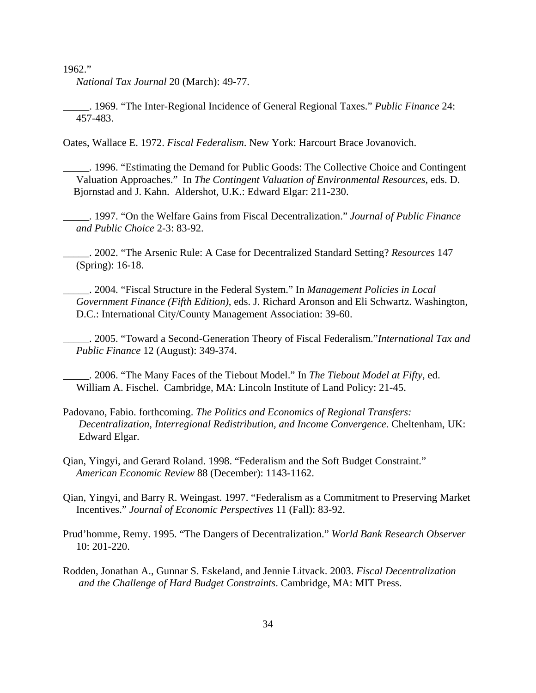1962."

*National Tax Journal* 20 (March): 49-77.

\_\_\_\_\_. 1969. "The Inter-Regional Incidence of General Regional Taxes." *Public Finance* 24: 457-483.

Oates, Wallace E. 1972. *Fiscal Federalism*. New York: Harcourt Brace Jovanovich.

\_\_\_\_\_. 1996. "Estimating the Demand for Public Goods: The Collective Choice and Contingent Valuation Approaches." In *The Contingent Valuation of Environmental Resources*, eds. D. Bjornstad and J. Kahn. Aldershot, U.K.: Edward Elgar: 211-230.

\_\_\_\_\_. 1997. "On the Welfare Gains from Fiscal Decentralization." *Journal of Public Finance and Public Choice* 2-3: 83-92.

\_\_\_\_\_. 2002. "The Arsenic Rule: A Case for Decentralized Standard Setting? *Resources* 147 (Spring): 16-18.

\_\_\_\_\_. 2004. "Fiscal Structure in the Federal System." In *Management Policies in Local Government Finance (Fifth Edition)*, eds. J. Richard Aronson and Eli Schwartz. Washington, D.C.: International City/County Management Association: 39-60.

\_\_\_\_\_. 2005. "Toward a Second-Generation Theory of Fiscal Federalism."*International Tax and Public Finance* 12 (August): 349-374.

\_\_\_\_\_. 2006. "The Many Faces of the Tiebout Model." In *The Tiebout Model at Fifty*, ed. William A. Fischel. Cambridge, MA: Lincoln Institute of Land Policy: 21-45.

Padovano, Fabio. forthcoming. *The Politics and Economics of Regional Transfers: Decentralization, Interregional Redistribution, and Income Convergence.* Cheltenham, UK: Edward Elgar.

Qian, Yingyi, and Gerard Roland. 1998. "Federalism and the Soft Budget Constraint." *American Economic Review* 88 (December): 1143-1162.

Qian, Yingyi, and Barry R. Weingast. 1997. "Federalism as a Commitment to Preserving Market Incentives." *Journal of Economic Perspectives* 11 (Fall): 83-92.

Prud'homme, Remy. 1995. "The Dangers of Decentralization." *World Bank Research Observer* 10: 201-220.

Rodden, Jonathan A., Gunnar S. Eskeland, and Jennie Litvack. 2003. *Fiscal Decentralization and the Challenge of Hard Budget Constraints*. Cambridge, MA: MIT Press.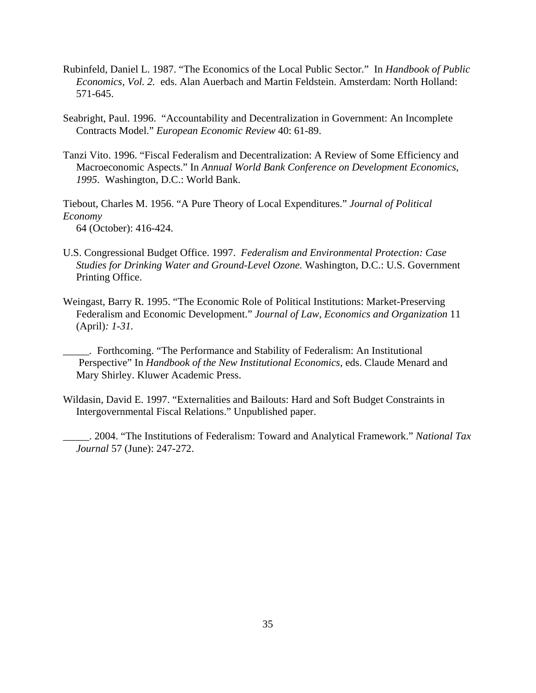- Rubinfeld, Daniel L. 1987. "The Economics of the Local Public Sector." In *Handbook of Public Economics, Vol. 2.* eds. Alan Auerbach and Martin Feldstein. Amsterdam: North Holland: 571-645.
- Seabright, Paul. 1996. "Accountability and Decentralization in Government: An Incomplete Contracts Model." *European Economic Review* 40: 61-89.
- Tanzi Vito. 1996. "Fiscal Federalism and Decentralization: A Review of Some Efficiency and Macroeconomic Aspects." In *Annual World Bank Conference on Development Economics*, *1995*. Washington, D.C.: World Bank.

Tiebout, Charles M. 1956. "A Pure Theory of Local Expenditures." *Journal of Political Economy* 64 (October): 416-424.

- U.S. Congressional Budget Office. 1997. *Federalism and Environmental Protection: Case Studies for Drinking Water and Ground-Level Ozone.* Washington, D.C.: U.S. Government Printing Office.
- Weingast, Barry R. 1995. "The Economic Role of Political Institutions: Market-Preserving Federalism and Economic Development." *Journal of Law, Economics and Organization* 11 (April)*: 1-31.*
- *\_\_\_\_\_.* Forthcoming. "The Performance and Stability of Federalism: An Institutional Perspective" In *Handbook of the New Institutional Economics*, eds. Claude Menard and Mary Shirley. Kluwer Academic Press.
- Wildasin, David E. 1997. "Externalities and Bailouts: Hard and Soft Budget Constraints in Intergovernmental Fiscal Relations." Unpublished paper.
	- \_\_\_\_\_. 2004. "The Institutions of Federalism: Toward and Analytical Framework." *National Tax Journal* 57 (June): 247-272.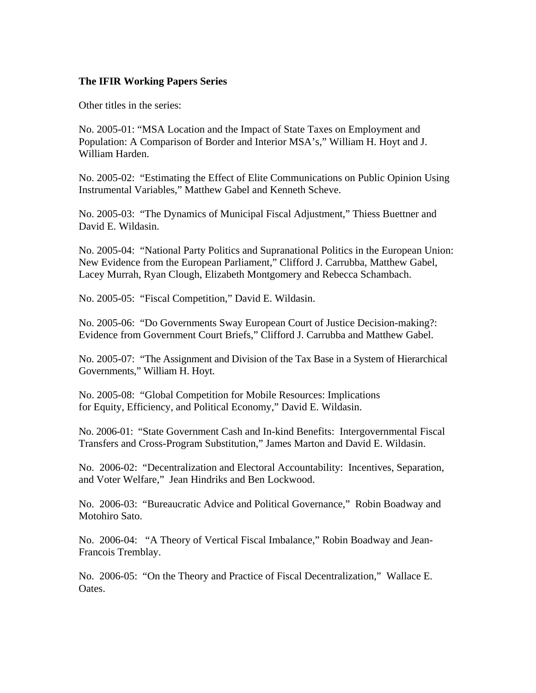# **The IFIR Working Papers Series**

Other titles in the series:

No. 2005-01: "MSA Location and the Impact of State Taxes on Employment and Population: A Comparison of Border and Interior MSA's," William H. Hoyt and J. William Harden.

No. 2005-02: "Estimating the Effect of Elite Communications on Public Opinion Using Instrumental Variables," Matthew Gabel and Kenneth Scheve.

No. 2005-03: "The Dynamics of Municipal Fiscal Adjustment," Thiess Buettner and David E. Wildasin.

No. 2005-04: "National Party Politics and Supranational Politics in the European Union: New Evidence from the European Parliament," Clifford J. Carrubba, Matthew Gabel, Lacey Murrah, Ryan Clough, Elizabeth Montgomery and Rebecca Schambach.

No. 2005-05: "Fiscal Competition," David E. Wildasin.

No. 2005-06: "Do Governments Sway European Court of Justice Decision-making?: Evidence from Government Court Briefs," Clifford J. Carrubba and Matthew Gabel.

No. 2005-07: "The Assignment and Division of the Tax Base in a System of Hierarchical Governments," William H. Hoyt.

No. 2005-08: "Global Competition for Mobile Resources: Implications for Equity, Efficiency, and Political Economy," David E. Wildasin.

No. 2006-01: "State Government Cash and In-kind Benefits: Intergovernmental Fiscal Transfers and Cross-Program Substitution," James Marton and David E. Wildasin.

No. 2006-02: "Decentralization and Electoral Accountability: Incentives, Separation, and Voter Welfare," Jean Hindriks and Ben Lockwood.

No. 2006-03: "Bureaucratic Advice and Political Governance," Robin Boadway and Motohiro Sato.

No. 2006-04: "A Theory of Vertical Fiscal Imbalance," Robin Boadway and Jean-Francois Tremblay.

No. 2006-05: "On the Theory and Practice of Fiscal Decentralization," Wallace E. Oates.